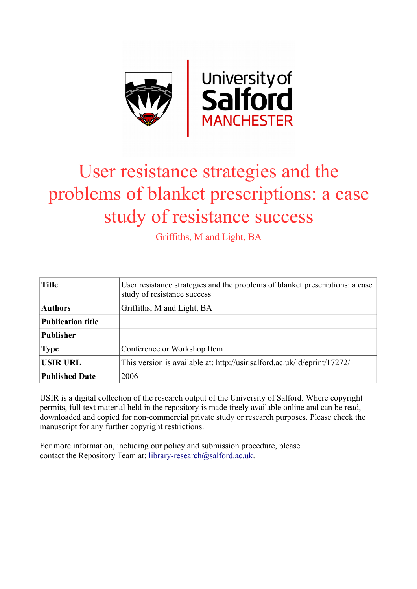

# User resistance strategies and the problems of blanket prescriptions: a case study of resistance success

Griffiths, M and Light, BA

| <b>Title</b>             | User resistance strategies and the problems of blanket prescriptions: a case<br>study of resistance success |
|--------------------------|-------------------------------------------------------------------------------------------------------------|
| <b>Authors</b>           | Griffiths, M and Light, BA                                                                                  |
| <b>Publication title</b> |                                                                                                             |
| <b>Publisher</b>         |                                                                                                             |
| <b>Type</b>              | Conference or Workshop Item                                                                                 |
| <b>USIR URL</b>          | This version is available at: http://usir.salford.ac.uk/id/eprint/17272/                                    |
| <b>Published Date</b>    | 2006                                                                                                        |

USIR is a digital collection of the research output of the University of Salford. Where copyright permits, full text material held in the repository is made freely available online and can be read, downloaded and copied for non-commercial private study or research purposes. Please check the manuscript for any further copyright restrictions.

For more information, including our policy and submission procedure, please contact the Repository Team at: [library-research@salford.ac.uk.](mailto:library-research@salford.ac.uk)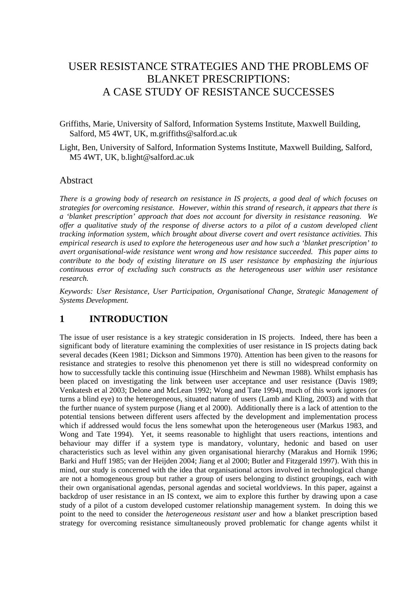## USER RESISTANCE STRATEGIES AND THE PROBLEMS OF BLANKET PRESCRIPTIONS: A CASE STUDY OF RESISTANCE SUCCESSES

Griffiths, Marie, University of Salford, Information Systems Institute, Maxwell Building, Salford, M5 4WT, UK, m.griffiths@salford.ac.uk

Light, Ben, University of Salford, Information Systems Institute, Maxwell Building, Salford, M5 4WT, UK, b.light@salford.ac.uk

#### Abstract

*There is a growing body of research on resistance in IS projects, a good deal of which focuses on strategies for overcoming resistance. However, within this strand of research, it appears that there is a 'blanket prescription' approach that does not account for diversity in resistance reasoning. We offer a qualitative study of the response of diverse actors to a pilot of a custom developed client tracking information system, which brought about diverse covert and overt resistance activities. This empirical research is used to explore the heterogeneous user and how such a 'blanket prescription' to avert organisational-wide resistance went wrong and how resistance succeeded. This paper aims to contribute to the body of existing literature on IS user resistance by emphasizing the injurious continuous error of excluding such constructs as the heterogeneous user within user resistance research.* 

*Keywords: User Resistance, User Participation, Organisational Change, Strategic Management of Systems Development.* 

#### **1 INTRODUCTION**

The issue of user resistance is a key strategic consideration in IS projects. Indeed, there has been a significant body of literature examining the complexities of user resistance in IS projects dating back several decades (Keen 1981; Dickson and Simmons 1970). Attention has been given to the reasons for resistance and strategies to resolve this phenomenon yet there is still no widespread conformity on how to successfully tackle this continuing issue (Hirschheim and Newman 1988). Whilst emphasis has been placed on investigating the link between user acceptance and user resistance (Davis 1989; Venkatesh et al 2003; Delone and McLean 1992; Wong and Tate 1994), much of this work ignores (or turns a blind eye) to the heterogeneous, situated nature of users (Lamb and Kling, 2003) and with that the further nuance of system purpose (Jiang et al 2000). Additionally there is a lack of attention to the potential tensions between different users affected by the development and implementation process which if addressed would focus the lens somewhat upon the heterogeneous user (Markus 1983, and Wong and Tate 1994). Yet, it seems reasonable to highlight that users reactions, intentions and behaviour may differ if a system type is mandatory, voluntary, hedonic and based on user characteristics such as level within any given organisational hierarchy (Marakus and Hornik 1996; Barki and Huff 1985; van der Heijden 2004; Jiang et al 2000; Butler and Fitzgerald 1997). With this in mind, our study is concerned with the idea that organisational actors involved in technological change are not a homogeneous group but rather a group of users belonging to distinct groupings, each with their own organisational agendas, personal agendas and societal worldviews. In this paper, against a backdrop of user resistance in an IS context, we aim to explore this further by drawing upon a case study of a pilot of a custom developed customer relationship management system. In doing this we point to the need to consider the *heterogeneous resistant user* and how a blanket prescription based strategy for overcoming resistance simultaneously proved problematic for change agents whilst it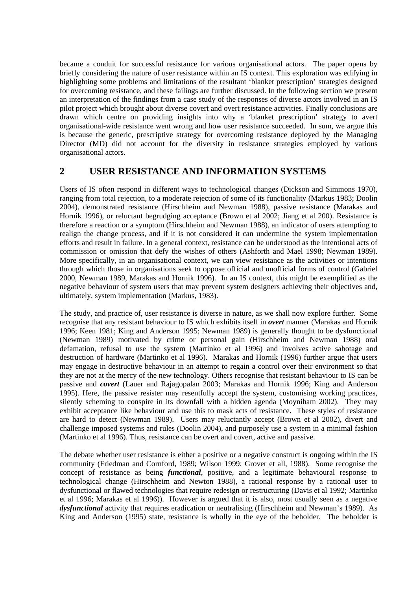became a conduit for successful resistance for various organisational actors. The paper opens by briefly considering the nature of user resistance within an IS context. This exploration was edifying in highlighting some problems and limitations of the resultant 'blanket prescription' strategies designed for overcoming resistance, and these failings are further discussed. In the following section we present an interpretation of the findings from a case study of the responses of diverse actors involved in an IS pilot project which brought about diverse covert and overt resistance activities. Finally conclusions are drawn which centre on providing insights into why a 'blanket prescription' strategy to avert organisational-wide resistance went wrong and how user resistance succeeded. In sum, we argue this is because the generic, prescriptive strategy for overcoming resistance deployed by the Managing Director (MD) did not account for the diversity in resistance strategies employed by various organisational actors.

## **2 USER RESISTANCE AND INFORMATION SYSTEMS**

Users of IS often respond in different ways to technological changes (Dickson and Simmons 1970), ranging from total rejection, to a moderate rejection of some of its functionality (Markus 1983; Doolin 2004), demonstrated resistance (Hirschheim and Newman 1988), passive resistance (Marakas and Hornik 1996), or reluctant begrudging acceptance (Brown et al 2002; Jiang et al 200). Resistance is therefore a reaction or a symptom (Hirschheim and Newman 1988), an indicator of users attempting to realign the change process, and if it is not considered it can undermine the system implementation efforts and result in failure. In a general context, resistance can be understood as the intentional acts of commission or omission that defy the wishes of others (Ashforth and Mael 1998; Newman 1989). More specifically, in an organisational context, we can view resistance as the activities or intentions through which those in organisations seek to oppose official and unofficial forms of control (Gabriel 2000, Newman 1989, Marakas and Hornik 1996). In an IS context, this might be exemplified as the negative behaviour of system users that may prevent system designers achieving their objectives and, ultimately, system implementation (Markus, 1983).

The study, and practice of, user resistance is diverse in nature, as we shall now explore further. Some recognise that any resistant behaviour to IS which exhibits itself in *overt* manner (Marakas and Hornik 1996; Keen 1981; King and Anderson 1995; Newman 1989) is generally thought to be dysfunctional (Newman 1989) motivated by crime or personal gain (Hirschheim and Newman 1988) oral defamation, refusal to use the system (Martinko et al 1996) and involves active sabotage and destruction of hardware (Martinko et al 1996). Marakas and Hornik (1996) further argue that users may engage in destructive behaviour in an attempt to regain a control over their environment so that they are not at the mercy of the new technology. Others recognise that resistant behaviour to IS can be passive and *covert* (Lauer and Rajagopalan 2003; Marakas and Hornik 1996; King and Anderson 1995). Here, the passive resister may resentfully accept the system, customising working practices, silently scheming to conspire in its downfall with a hidden agenda (Moyniham 2002). They may exhibit acceptance like behaviour and use this to mask acts of resistance. These styles of resistance are hard to detect (Newman 1989). Users may reluctantly accept (Brown et al 2002), divert and challenge imposed systems and rules (Doolin 2004), and purposely use a system in a minimal fashion (Martinko et al 1996). Thus, resistance can be overt and covert, active and passive.

The debate whether user resistance is either a positive or a negative construct is ongoing within the IS community (Friedman and Cornford, 1989; Wilson 1999; Grover et all, 1988). Some recognise the concept of resistance as being *functional*, positive, and a legitimate behavioural response to technological change (Hirschheim and Newton 1988), a rational response by a rational user to dysfunctional or flawed technologies that require redesign or restructuring (Davis et al 1992; Martinko et al 1996; Marakas et al 1996)). However is argued that it is also, most usually seen as a negative *dysfunctional* activity that requires eradication or neutralising (Hirschheim and Newman's 1989). As King and Anderson (1995) state, resistance is wholly in the eye of the beholder. The beholder is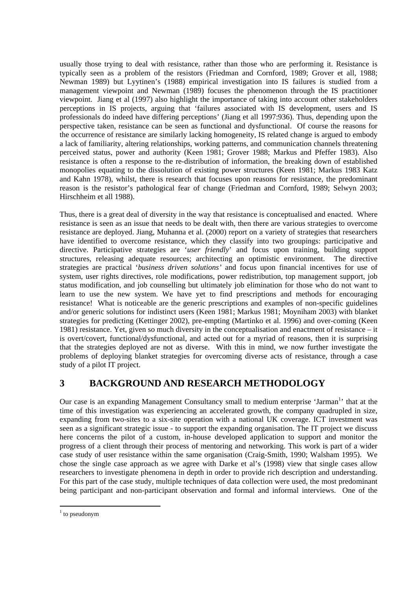usually those trying to deal with resistance, rather than those who are performing it. Resistance is typically seen as a problem of the resistors (Friedman and Cornford, 1989; Grover et all, 1988; Newman 1989) but Lyytinen's (1988) empirical investigation into IS failures is studied from a management viewpoint and Newman (1989) focuses the phenomenon through the IS practitioner viewpoint. Jiang et al (1997) also highlight the importance of taking into account other stakeholders perceptions in IS projects, arguing that 'failures associated with IS development, users and IS professionals do indeed have differing perceptions' (Jiang et all 1997:936). Thus, depending upon the perspective taken, resistance can be seen as functional and dysfunctional. Of course the reasons for the occurrence of resistance are similarly lacking homogeneity, IS related change is argued to embody a lack of familiarity, altering relationships, working patterns, and communication channels threatening perceived status, power and authority (Keen 1981; Grover 1988; Markus and Pfeffer 1983). Also resistance is often a response to the re-distribution of information, the breaking down of established monopolies equating to the dissolution of existing power structures (Keen 1981; Markus 1983 Katz and Kahn 1978), whilst, there is research that focuses upon reasons for resistance, the predominant reason is the resistor's pathological fear of change (Friedman and Cornford, 1989; Selwyn 2003; Hirschheim et all 1988).

Thus, there is a great deal of diversity in the way that resistance is conceptualised and enacted. Where resistance is seen as an issue that needs to be dealt with, then there are various strategies to overcome resistance are deployed. Jiang, Muhanna et al. (2000) report on a variety of strategies that researchers have identified to overcome resistance, which they classify into two groupings: participative and directive. Participative strategies are '*user friendly*' and focus upon training, building support structures, releasing adequate resources; architecting an optimistic environment. The directive strategies are practical '*business driven solutions'* and focus upon financial incentives for use of system, user rights directives, role modifications, power redistribution, top management support, job status modification, and job counselling but ultimately job elimination for those who do not want to learn to use the new system. We have yet to find prescriptions and methods for encouraging resistance! What is noticeable are the generic prescriptions and examples of non-specific guidelines and/or generic solutions for indistinct users (Keen 1981; Markus 1981; Moyniham 2003) with blanket strategies for predicting (Kettinger 2002), pre-empting (Martinko et al. 1996) and over-coming (Keen 1981) resistance. Yet, given so much diversity in the conceptualisation and enactment of resistance – it is overt/covert, functional/dysfunctional, and acted out for a myriad of reasons, then it is surprising that the strategies deployed are not as diverse. With this in mind, we now further investigate the problems of deploying blanket strategies for overcoming diverse acts of resistance, through a case study of a pilot IT project.

## **3 BACKGROUND AND RESEARCH METHODOLOGY**

Our case is an expanding Management Consultancy small to medium enterprise 'Jarman<sup>1</sup>' that at the time of this investigation was experiencing an accelerated growth, the company quadrupled in size, expanding from two-sites to a six-site operation with a national UK coverage. ICT investment was seen as a significant strategic issue - to support the expanding organisation. The IT project we discuss here concerns the pilot of a custom, in-house developed application to support and monitor the progress of a client through their process of mentoring and networking. This work is part of a wider case study of user resistance within the same organisation (Craig-Smith, 1990; Walsham 1995). We chose the single case approach as we agree with Darke et al's (1998) view that single cases allow researchers to investigate phenomena in depth in order to provide rich description and understanding. For this part of the case study, multiple techniques of data collection were used, the most predominant being participant and non-participant observation and formal and informal interviews. One of the

l

<span id="page-3-0"></span> $1$  to pseudonym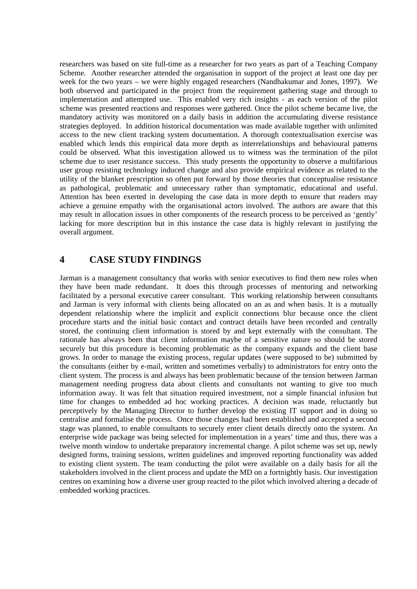researchers was based on site full-time as a researcher for two years as part of a Teaching Company Scheme. Another researcher attended the organisation in support of the project at least one day per week for the two years – we were highly engaged researchers (Nandhakumar and Jones, 1997). We both observed and participated in the project from the requirement gathering stage and through to implementation and attempted use. This enabled very rich insights - as each version of the pilot scheme was presented reactions and responses were gathered. Once the pilot scheme became live, the mandatory activity was monitored on a daily basis in addition the accumulating diverse resistance strategies deployed. In addition historical documentation was made available together with unlimited access to the new client tracking system documentation. A thorough contextualisation exercise was enabled which lends this empirical data more depth as interrelationships and behavioural patterns could be observed. What this investigation allowed us to witness was the termination of the pilot scheme due to user resistance success. This study presents the opportunity to observe a multifarious user group resisting technology induced change and also provide empirical evidence as related to the utility of the blanket prescription so often put forward by those theories that conceptualise resistance as pathological, problematic and unnecessary rather than symptomatic, educational and useful. Attention has been exerted in developing the case data in more depth to ensure that readers may achieve a genuine empathy with the organisational actors involved. The authors are aware that this may result in allocation issues in other components of the research process to be perceived as 'gently' lacking for more description but in this instance the case data is highly relevant in justifying the overall argument.

#### **4 CASE STUDY FINDINGS**

Jarman is a management consultancy that works with senior executives to find them new roles when they have been made redundant. It does this through processes of mentoring and networking facilitated by a personal executive career consultant. This working relationship between consultants and Jarman is very informal with clients being allocated on an as and when basis. It is a mutually dependent relationship where the implicit and explicit connections blur because once the client procedure starts and the initial basic contact and contract details have been recorded and centrally stored, the continuing client information is stored by and kept externally with the consultant. The rationale has always been that client information maybe of a sensitive nature so should be stored securely but this procedure is becoming problematic as the company expands and the client base grows. In order to manage the existing process, regular updates (were supposed to be) submitted by the consultants (either by e-mail, written and sometimes verbally) to administrators for entry onto the client system. The process is and always has been problematic because of the tension between Jarman management needing progress data about clients and consultants not wanting to give too much information away. It was felt that situation required investment, not a simple financial infusion but time for changes to embedded ad hoc working practices. A decision was made, reluctantly but perceptively by the Managing Director to further develop the existing IT support and in doing so centralise and formalise the process. Once those changes had been established and accepted a second stage was planned, to enable consultants to securely enter client details directly onto the system. An enterprise wide package was being selected for implementation in a years' time and thus, there was a twelve month window to undertake preparatory incremental change. A pilot scheme was set up, newly designed forms, training sessions, written guidelines and improved reporting functionality was added to existing client system. The team conducting the pilot were available on a daily basis for all the stakeholders involved in the client process and update the MD on a fortnightly basis. Our investigation centres on examining how a diverse user group reacted to the pilot which involved altering a decade of embedded working practices.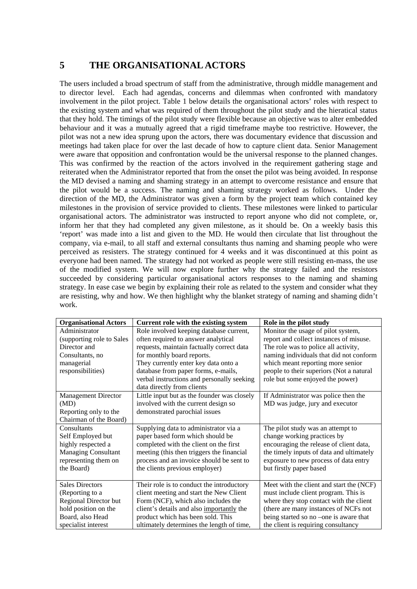## **5 THE ORGANISATIONAL ACTORS**

The users included a broad spectrum of staff from the administrative, through middle management and to director level. Each had agendas, concerns and dilemmas when confronted with mandatory involvement in the pilot project. Table 1 below details the organisational actors' roles with respect to the existing system and what was required of them throughout the pilot study and the hieratical status that they hold. The timings of the pilot study were flexible because an objective was to alter embedded behaviour and it was a mutually agreed that a rigid timeframe maybe too restrictive. However, the pilot was not a new idea sprung upon the actors, there was documentary evidence that discussion and meetings had taken place for over the last decade of how to capture client data. Senior Management were aware that opposition and confrontation would be the universal response to the planned changes. This was confirmed by the reaction of the actors involved in the requirement gathering stage and reiterated when the Administrator reported that from the onset the pilot was being avoided. In response the MD devised a naming and shaming strategy in an attempt to overcome resistance and ensure that the pilot would be a success. The naming and shaming strategy worked as follows. Under the direction of the MD, the Administrator was given a form by the project team which contained key milestones in the provision of service provided to clients. These milestones were linked to particular organisational actors. The administrator was instructed to report anyone who did not complete, or, inform her that they had completed any given milestone, as it should be. On a weekly basis this 'report' was made into a list and given to the MD. He would then circulate that list throughout the company, via e-mail, to all staff and external consultants thus naming and shaming people who were perceived as resisters. The strategy continued for 4 weeks and it was discontinued at this point as everyone had been named. The strategy had not worked as people were still resisting en-mass, the use of the modified system. We will now explore further why the strategy failed and the resistors succeeded by considering particular organisational actors responses to the naming and shaming strategy. In ease case we begin by explaining their role as related to the system and consider what they are resisting, why and how. We then highlight why the blanket strategy of naming and shaming didn't work.

| <b>Organisational Actors</b> | Current role with the existing system       | Role in the pilot study                  |
|------------------------------|---------------------------------------------|------------------------------------------|
| Administrator                | Role involved keeping database current,     | Monitor the usage of pilot system,       |
| (supporting role to Sales    | often required to answer analytical         | report and collect instances of misuse.  |
| Director and                 | requests, maintain factually correct data   | The role was to police all activity,     |
| Consultants, no              | for monthly board reports.                  | naming individuals that did not conform  |
| managerial                   | They currently enter key data onto a        | which meant reporting more senior        |
| responsibilities)            | database from paper forms, e-mails,         | people to their superiors (Not a natural |
|                              | verbal instructions and personally seeking  | role but some enjoyed the power)         |
|                              | data directly from clients                  |                                          |
| <b>Management Director</b>   | Little input but as the founder was closely | If Administrator was police then the     |
| (MD)                         | involved with the current design so         | MD was judge, jury and executor          |
| Reporting only to the        | demonstrated parochial issues               |                                          |
| Chairman of the Board)       |                                             |                                          |
| Consultants                  | Supplying data to administrator via a       | The pilot study was an attempt to        |
| Self Employed but            | paper based form which should be            | change working practices by              |
| highly respected a           | completed with the client on the first      | encouraging the release of client data,  |
| <b>Managing Consultant</b>   | meeting (this then triggers the financial   | the timely inputs of data and ultimately |
| representing them on         | process and an invoice should be sent to    | exposure to new process of data entry    |
| the Board)                   | the clients previous employer)              | but firstly paper based                  |
|                              |                                             |                                          |
| <b>Sales Directors</b>       | Their role is to conduct the introductory   | Meet with the client and start the (NCF) |
| (Reporting to a              | client meeting and start the New Client     | must include client program. This is     |
| Regional Director but        | Form (NCF), which also includes the         | where they stop contact with the client  |
| hold position on the         | client's details and also importantly the   | (there are many instances of NCFs not    |
| Board, also Head             | product which has been sold. This           | being started so no -one is aware that   |
| specialist interest          | ultimately determines the length of time,   | the client is requiring consultancy      |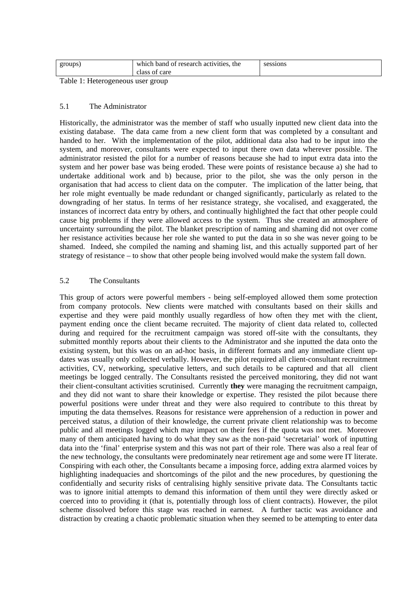| groups)                           | which band of research activities, the<br>class of care | sessions |  |  |
|-----------------------------------|---------------------------------------------------------|----------|--|--|
|                                   |                                                         |          |  |  |
| Takle 1. Hatangganggun ugan gugun |                                                         |          |  |  |

Table 1: Heterogeneous user group

#### 5.1 The Administrator

Historically, the administrator was the member of staff who usually inputted new client data into the existing database. The data came from a new client form that was completed by a consultant and handed to her. With the implementation of the pilot, additional data also had to be input into the system, and moreover, consultants were expected to input there own data wherever possible. The administrator resisted the pilot for a number of reasons because she had to input extra data into the system and her power base was being eroded. These were points of resistance because a) she had to undertake additional work and b) because, prior to the pilot, she was the only person in the organisation that had access to client data on the computer. The implication of the latter being, that her role might eventually be made redundant or changed significantly, particularly as related to the downgrading of her status. In terms of her resistance strategy, she vocalised, and exaggerated, the instances of incorrect data entry by others, and continually highlighted the fact that other people could cause big problems if they were allowed access to the system. Thus she created an atmosphere of uncertainty surrounding the pilot. The blanket prescription of naming and shaming did not over come her resistance activities because her role she wanted to put the data in so she was never going to be shamed. Indeed, she compiled the naming and shaming list, and this actually supported part of her strategy of resistance – to show that other people being involved would make the system fall down.

#### 5.2 The Consultants

This group of actors were powerful members - being self-employed allowed them some protection from company protocols. New clients were matched with consultants based on their skills and expertise and they were paid monthly usually regardless of how often they met with the client, payment ending once the client became recruited. The majority of client data related to, collected during and required for the recruitment campaign was stored off-site with the consultants, they submitted monthly reports about their clients to the Administrator and she inputted the data onto the existing system, but this was on an ad-hoc basis, in different formats and any immediate client updates was usually only collected verbally. However, the pilot required all client-consultant recruitment activities, CV, networking, speculative letters, and such details to be captured and that all client meetings be logged centrally. The Consultants resisted the perceived monitoring, they did not want their client-consultant activities scrutinised. Currently **they** were managing the recruitment campaign, and they did not want to share their knowledge or expertise. They resisted the pilot because there powerful positions were under threat and they were also required to contribute to this threat by imputing the data themselves. Reasons for resistance were apprehension of a reduction in power and perceived status, a dilution of their knowledge, the current private client relationship was to become public and all meetings logged which may impact on their fees if the quota was not met. Moreover many of them anticipated having to do what they saw as the non-paid 'secretarial' work of inputting data into the 'final' enterprise system and this was not part of their role. There was also a real fear of the new technology, the consultants were predominately near retirement age and some were IT literate. Conspiring with each other, the Consultants became a imposing force, adding extra alarmed voices by highlighting inadequacies and shortcomings of the pilot and the new procedures, by questioning the confidentially and security risks of centralising highly sensitive private data. The Consultants tactic was to ignore initial attempts to demand this information of them until they were directly asked or coerced into to providing it (that is, potentially through loss of client contracts). However, the pilot scheme dissolved before this stage was reached in earnest. A further tactic was avoidance and distraction by creating a chaotic problematic situation when they seemed to be attempting to enter data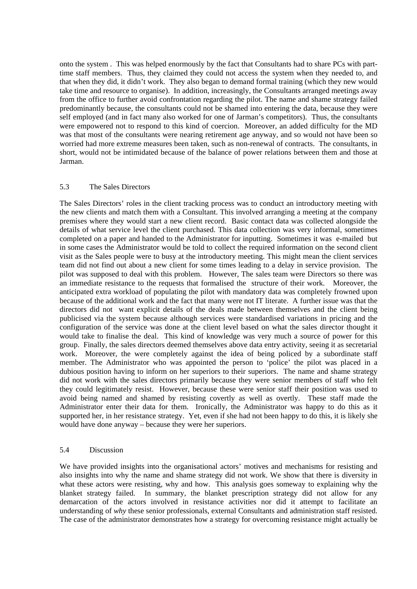onto the system . This was helped enormously by the fact that Consultants had to share PCs with parttime staff members. Thus, they claimed they could not access the system when they needed to, and that when they did, it didn't work. They also began to demand formal training (which they new would take time and resource to organise). In addition, increasingly, the Consultants arranged meetings away from the office to further avoid confrontation regarding the pilot. The name and shame strategy failed predominantly because, the consultants could not be shamed into entering the data, because they were self employed (and in fact many also worked for one of Jarman's competitors). Thus, the consultants were empowered not to respond to this kind of coercion. Moreover, an added difficulty for the MD was that most of the consultants were nearing retirement age anyway, and so would not have been so worried had more extreme measures been taken, such as non-renewal of contracts. The consultants, in short, would not be intimidated because of the balance of power relations between them and those at Jarman.

#### 5.3 The Sales Directors

The Sales Directors' roles in the client tracking process was to conduct an introductory meeting with the new clients and match them with a Consultant. This involved arranging a meeting at the company premises where they would start a new client record. Basic contact data was collected alongside the details of what service level the client purchased. This data collection was very informal, sometimes completed on a paper and handed to the Administrator for inputting. Sometimes it was e-mailed but in some cases the Administrator would be told to collect the required information on the second client visit as the Sales people were to busy at the introductory meeting. This might mean the client services team did not find out about a new client for some times leading to a delay in service provision. The pilot was supposed to deal with this problem. However, The sales team were Directors so there was an immediate resistance to the requests that formalised the structure of their work. Moreover, the anticipated extra workload of populating the pilot with mandatory data was completely frowned upon because of the additional work and the fact that many were not IT literate. A further issue was that the directors did not want explicit details of the deals made between themselves and the client being publicised via the system because although services were standardised variations in pricing and the configuration of the service was done at the client level based on what the sales director thought it would take to finalise the deal. This kind of knowledge was very much a source of power for this group. Finally, the sales directors deemed themselves above data entry activity, seeing it as secretarial work. Moreover, the were completely against the idea of being policed by a subordinate staff member. The Administrator who was appointed the person to 'police' the pilot was placed in a dubious position having to inform on her superiors to their superiors. The name and shame strategy did not work with the sales directors primarily because they were senior members of staff who felt they could legitimately resist. However, because these were senior staff their position was used to avoid being named and shamed by resisting covertly as well as overtly. These staff made the Administrator enter their data for them. Ironically, the Administrator was happy to do this as it supported her, in her resistance strategy. Yet, even if she had not been happy to do this, it is likely she would have done anyway – because they were her superiors.

#### 5.4 Discussion

We have provided insights into the organisational actors' motives and mechanisms for resisting and also insights into why the name and shame strategy did not work. We show that there is diversity in what these actors were resisting, why and how. This analysis goes someway to explaining why the blanket strategy failed. In summary, the blanket prescription strategy did not allow for any demarcation of the actors involved in resistance activities nor did it attempt to facilitate an understanding of *why* these senior professionals, external Consultants and administration staff resisted. The case of the administrator demonstrates how a strategy for overcoming resistance might actually be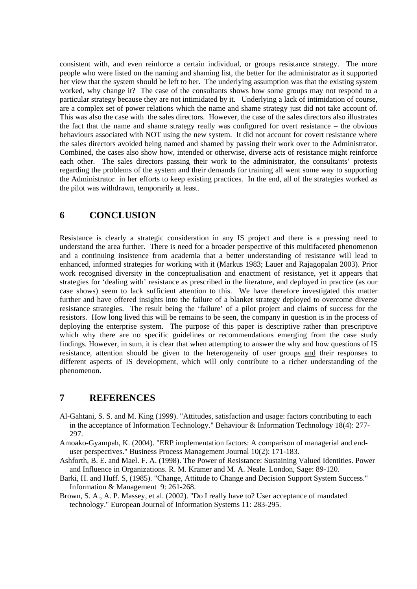consistent with, and even reinforce a certain individual, or groups resistance strategy. The more people who were listed on the naming and shaming list, the better for the administrator as it supported her view that the system should be left to her. The underlying assumption was that the existing system worked, why change it? The case of the consultants shows how some groups may not respond to a particular strategy because they are not intimidated by it. Underlying a lack of intimidation of course, are a complex set of power relations which the name and shame strategy just did not take account of. This was also the case with the sales directors. However, the case of the sales directors also illustrates the fact that the name and shame strategy really was configured for overt resistance – the obvious behaviours associated with NOT using the new system. It did not account for covert resistance where the sales directors avoided being named and shamed by passing their work over to the Administrator. Combined, the cases also show how, intended or otherwise, diverse acts of resistance might reinforce each other. The sales directors passing their work to the administrator, the consultants' protests regarding the problems of the system and their demands for training all went some way to supporting the Administrator in her efforts to keep existing practices. In the end, all of the strategies worked as the pilot was withdrawn, temporarily at least.

## **6 CONCLUSION**

Resistance is clearly a strategic consideration in any IS project and there is a pressing need to understand the area further. There is need for a broader perspective of this multifaceted phenomenon and a continuing insistence from academia that a better understanding of resistance will lead to enhanced, informed strategies for working with it (Markus 1983; Lauer and Rajagopalan 2003). Prior work recognised diversity in the conceptualisation and enactment of resistance, yet it appears that strategies for 'dealing with' resistance as prescribed in the literature, and deployed in practice (as our case shows) seem to lack sufficient attention to this. We have therefore investigated this matter further and have offered insights into the failure of a blanket strategy deployed to overcome diverse resistance strategies. The result being the 'failure' of a pilot project and claims of success for the resistors. How long lived this will be remains to be seen, the company in question is in the process of deploying the enterprise system. The purpose of this paper is descriptive rather than prescriptive which why there are no specific guidelines or recommendations emerging from the case study findings. However, in sum, it is clear that when attempting to answer the why and how questions of IS resistance, attention should be given to the heterogeneity of user groups and their responses to different aspects of IS development, which will only contribute to a richer understanding of the phenomenon.

## **7 REFERENCES**

- Al-Gahtani, S. S. and M. King (1999). "Attitudes, satisfaction and usage: factors contributing to each in the acceptance of Information Technology." Behaviour & Information Technology 18(4): 277- 297.
- Amoako-Gyampah, K. (2004). "ERP implementation factors: A comparison of managerial and enduser perspectives." Business Process Management Journal 10(2): 171-183.
- Ashforth, B. E. and Mael. F. A. (1998). The Power of Resistance: Sustaining Valued Identities. Power and Influence in Organizations. R. M. Kramer and M. A. Neale. London, Sage: 89-120.
- Barki, H. and Huff. S, (1985). "Change, Attitude to Change and Decision Support System Success." Information & Management 9: 261-268.
- Brown, S. A., A. P. Massey, et al. (2002). "Do I really have to? User acceptance of mandated technology." European Journal of Information Systems 11: 283-295.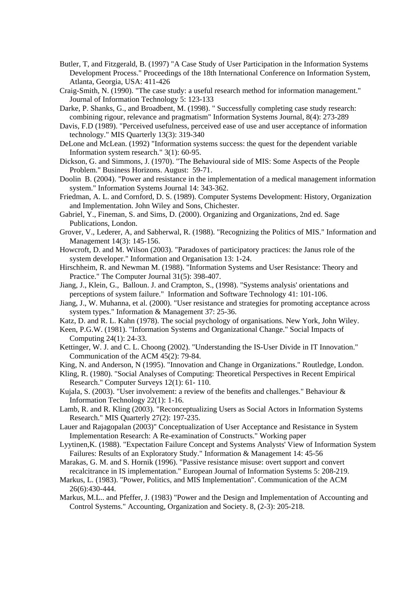- Butler, T, and Fitzgerald, B. (1997) "A Case Study of User Participation in the Information Systems Development Process." Proceedings of the 18th International Conference on Information System, Atlanta, Georgia, USA: 411-426
- Craig-Smith, N. (1990). "The case study: a useful research method for information management." Journal of Information Technology 5: 123-133
- Darke, P. Shanks, G., and Broadbent, M. (1998). " Successfully completing case study research: combining rigour, relevance and pragmatism" Information Systems Journal, 8(4): 273-289
- Davis, F.D (1989). "Perceived usefulness, perceived ease of use and user acceptance of information technology." MIS Quarterly 13(3): 319-340
- DeLone and McLean. (1992) "Information systems success: the quest for the dependent variable Information system research." 3(1): 60-95.
- Dickson, G. and Simmons, J. (1970). "The Behavioural side of MIS: Some Aspects of the People Problem." Business Horizons. August: 59-71.
- Doolin B. (2004). "Power and resistance in the implementation of a medical management information system." Information Systems Journal 14: 343-362.
- Friedman, A. L. and Cornford, D. S. (1989). Computer Systems Development: History, Organization and Implementation. John Wiley and Sons, Chichester.
- Gabriel, Y., Fineman, S. and Sims, D. (2000). Organizing and Organizations, 2nd ed. Sage Publications, London.
- Grover, V., Lederer, A, and Sabherwal, R. (1988). "Recognizing the Politics of MIS." Information and Management 14(3): 145-156.
- Howcroft, D. and M. Wilson (2003). "Paradoxes of participatory practices: the Janus role of the system developer." Information and Organisation 13: 1-24.
- Hirschheim, R. and Newman M. (1988). "Information Systems and User Resistance: Theory and Practice." The Computer Journal 31(5): 398-407.
- Jiang, J., Klein, G., Balloun. J. and Crampton, S., (1998). "Systems analysis' orientations and perceptions of system failure." Information and Software Technology 41: 101-106.
- Jiang, J., W. Muhanna, et al. (2000). "User resistance and strategies for promoting acceptance across system types." Information & Management 37: 25-36.
- Katz, D. and R. L. Kahn (1978). The social psychology of organisations. New York, John Wiley.
- Keen, P.G.W. (1981). "Information Systems and Organizational Change." Social Impacts of Computing 24(1): 24-33.
- Kettinger, W. J. and C. L. Choong (2002). "Understanding the IS-User Divide in IT Innovation." Communication of the ACM 45(2): 79-84.
- King, N. and Anderson, N (1995). "Innovation and Change in Organizations." Routledge, London.
- Kling, R. (1980). "Social Analyses of Computing: Theoretical Perspectives in Recent Empirical Research." Computer Surveys 12(1): 61- 110.
- Kujala, S. (2003). "User involvement: a review of the benefits and challenges." Behaviour & Information Technology 22(1): 1-16.
- Lamb, R. and R. Kling (2003). "Reconceptualizing Users as Social Actors in Information Systems Research." MIS Quarterly 27(2): 197-235.
- Lauer and Rajagopalan (2003)" Conceptualization of User Acceptance and Resistance in System Implementation Research: A Re-examination of Constructs." Working paper
- Lyytinen,K. (1988). "Expectation Failure Concept and Systems Analysts' View of Information System Failures: Results of an Exploratory Study." Information & Management 14: 45-56
- Marakas, G. M. and S. Hornik (1996). "Passive resistance misuse: overt support and convert recalcitrance in IS implementation." European Journal of Information Systems 5: 208-219.
- Markus, L. (1983). "Power, Politics, and MIS Implementation". Communication of the ACM 26(6):430-444.
- Markus, M.L.. and Pfeffer, J. (1983) "Power and the Design and Implementation of Accounting and Control Systems." Accounting, Organization and Society. 8, (2-3): 205-218.